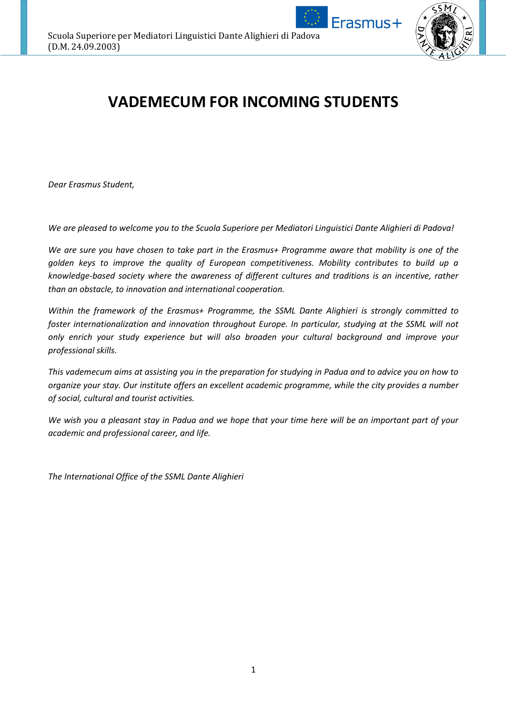

Erasmus+

# **VADEMECUM FOR INCOMING STUDENTS**

*Dear Erasmus Student,*

*We are pleased to welcome you to the Scuola Superiore per Mediatori Linguistici Dante Alighieri di Padova!*

*We are sure you have chosen to take part in the Erasmus+ Programme aware that mobility is one of the golden keys to improve the quality of European competitiveness. Mobility contributes to build up a knowledge-based society where the awareness of different cultures and traditions is an incentive, rather than an obstacle, to innovation and international cooperation.*

*Within the framework of the Erasmus+ Programme, the SSML Dante Alighieri is strongly committed to foster internationalization and innovation throughout Europe. In particular, studying at the SSML will not only enrich your study experience but will also broaden your cultural background and improve your professional skills.*

*This vademecum aims at assisting you in the preparation for studying in Padua and to advice you on how to organize your stay. Our institute offers an excellent academic programme, while the city provides a number of social, cultural and tourist activities.*

*We wish you a pleasant stay in Padua and we hope that your time here will be an important part of your academic and professional career, and life.*

*The International Office of the SSML Dante Alighieri*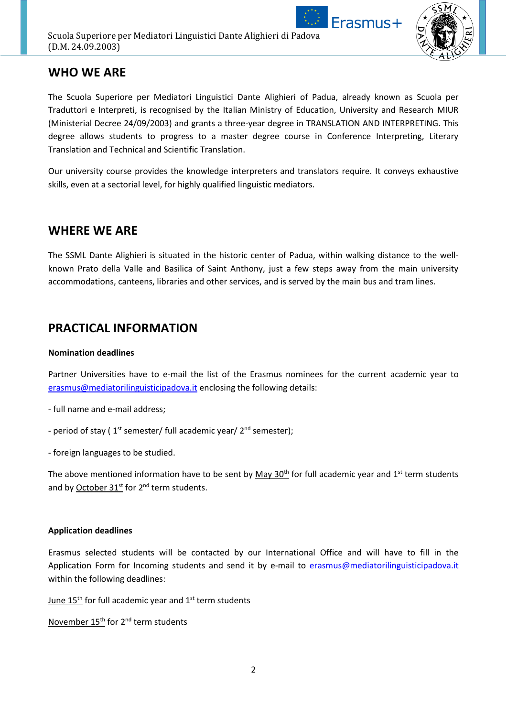



# **WHO WE ARE**

The Scuola Superiore per Mediatori Linguistici Dante Alighieri of Padua, already known as Scuola per Traduttori e Interpreti, is recognised by the Italian Ministry of Education, University and Research MIUR (Ministerial Decree 24/09/2003) and grants a three-year degree in TRANSLATION AND INTERPRETING. This degree allows students to progress to a master degree course in Conference Interpreting, Literary Translation and Technical and Scientific Translation.

Our university course provides the knowledge interpreters and translators require. It conveys exhaustive skills, even at a sectorial level, for highly qualified linguistic mediators.

### **WHERE WE ARE**

The SSML Dante Alighieri is situated in the historic center of Padua, within walking distance to the wellknown Prato della Valle and Basilica of Saint Anthony, just a few steps away from the main university accommodations, canteens, libraries and other services, and is served by the main bus and tram lines.

## **PRACTICAL INFORMATION**

### **Nomination deadlines**

Partner Universities have to e-mail the list of the Erasmus nominees for the current academic year to [erasmus@mediatorilinguisticipadova.it](mailto:erasmus@mediatorilinguisticipadova.it) enclosing the following details:

- full name and e-mail address;

- period of stay (1<sup>st</sup> semester/ full academic year/ 2<sup>nd</sup> semester);

- foreign languages to be studied.

The above mentioned information have to be sent by  $May 30<sup>th</sup>$  for full academic year and  $1<sup>st</sup>$  term students and by October 31<sup>st</sup> for 2<sup>nd</sup> term students.

### **Application deadlines**

Erasmus selected students will be contacted by our International Office and will have to fill in the Application Form for Incoming students and send it by e-mail to [erasmus@mediatorilinguisticipadova.it](mailto:erasmus@mediatorilinguisticipadova.it) within the following deadlines:

June  $15<sup>th</sup>$  for full academic year and  $1<sup>st</sup>$  term students

November 15<sup>th</sup> for 2<sup>nd</sup> term students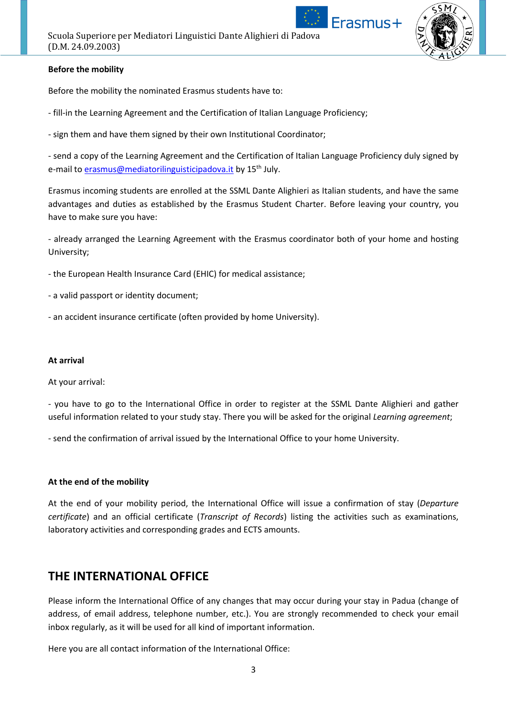

### **Before the mobility**

Before the mobility the nominated Erasmus students have to:

- fill-in the Learning Agreement and the Certification of Italian Language Proficiency;
- sign them and have them signed by their own Institutional Coordinator;

- send a copy of the Learning Agreement and the Certification of Italian Language Proficiency duly signed by e-mail to [erasmus@mediatorilinguisticipadova.it](mailto:erasmus@mediatorilinguisticipadova.it) by 15<sup>th</sup> July.

Erasmus incoming students are enrolled at the SSML Dante Alighieri as Italian students, and have the same advantages and duties as established by the Erasmus Student Charter. Before leaving your country, you have to make sure you have:

- already arranged the Learning Agreement with the Erasmus coordinator both of your home and hosting University;

- the European Health Insurance Card (EHIC) for medical assistance;

- a valid passport or identity document;

- an accident insurance certificate (often provided by home University).

### **At arrival**

At your arrival:

- you have to go to the International Office in order to register at the SSML Dante Alighieri and gather useful information related to your study stay. There you will be asked for the original *Learning agreement*;

- send the confirmation of arrival issued by the International Office to your home University.

### **At the end of the mobility**

At the end of your mobility period, the International Office will issue a confirmation of stay (*Departure certificate*) and an official certificate (*Transcript of Records*) listing the activities such as examinations, laboratory activities and corresponding grades and ECTS amounts.

### **THE INTERNATIONAL OFFICE**

Please inform the International Office of any changes that may occur during your stay in Padua (change of address, of email address, telephone number, etc.). You are strongly recommended to check your email inbox regularly, as it will be used for all kind of important information.

Here you are all contact information of the International Office: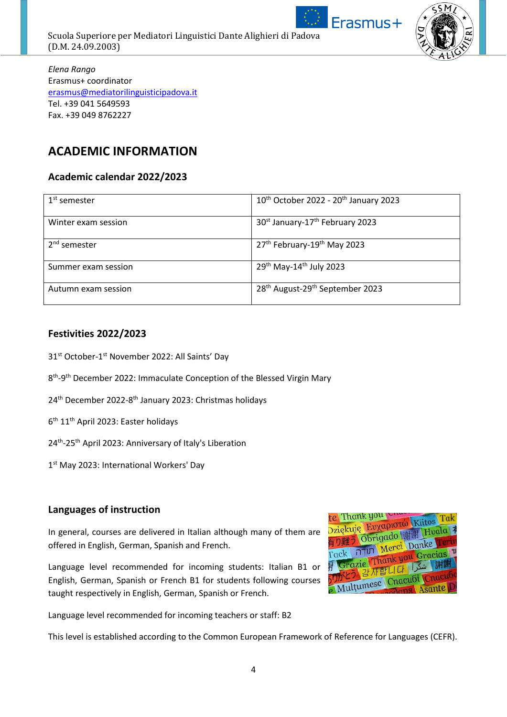

Scuola Superiore per Mediatori Linguistici Dante Alighieri di Padova (D.M. 24.09.2003)



*Elena Rango* Erasmus+ coordinator [erasmus@mediatorilinguisticipadova.it](mailto:erasmus@mediatorilinguisticipadova.it) Tel. +39 041 5649593 Fax. +39 049 8762227

# **ACADEMIC INFORMATION**

### **Academic calendar 2022/2023**

| $1st$ semester      | $10^{th}$ October 2022 - $20^{th}$ January 2023         |
|---------------------|---------------------------------------------------------|
| Winter exam session | 30 <sup>st</sup> January-17 <sup>th</sup> February 2023 |
| $2nd$ semester      | 27 <sup>th</sup> February-19 <sup>th</sup> May 2023     |
| Summer exam session | 29 <sup>th</sup> May-14 <sup>th</sup> July 2023         |
| Autumn exam session | 28 <sup>th</sup> August-29 <sup>th</sup> September 2023 |

### **Festivities 2022/2023**

- 31<sup>st</sup> October-1<sup>st</sup> November 2022: All Saints' Day
- 8<sup>th</sup>-9<sup>th</sup> December 2022: Immaculate Conception of the Blessed Virgin Mary
- 24<sup>th</sup> December 2022-8<sup>th</sup> January 2023: Christmas holidays
- 6<sup>th</sup> 11<sup>th</sup> April 2023: Easter holidays
- 24<sup>th</sup>-25<sup>th</sup> April 2023: Anniversary of Italy's Liberation
- 1<sup>st</sup> May 2023: International Workers' Day

### **Languages of instruction**

In general, courses are delivered in Italian although many of them are offered in English, German, Spanish and French.

Language level recommended for incoming students: Italian B1 or English, German, Spanish or French B1 for students following courses taught respectively in English, German, Spanish or French.

Language level recommended for incoming teachers or staff: B2

This level is established according to the Common European Framework of Reference for Languages (CEFR).

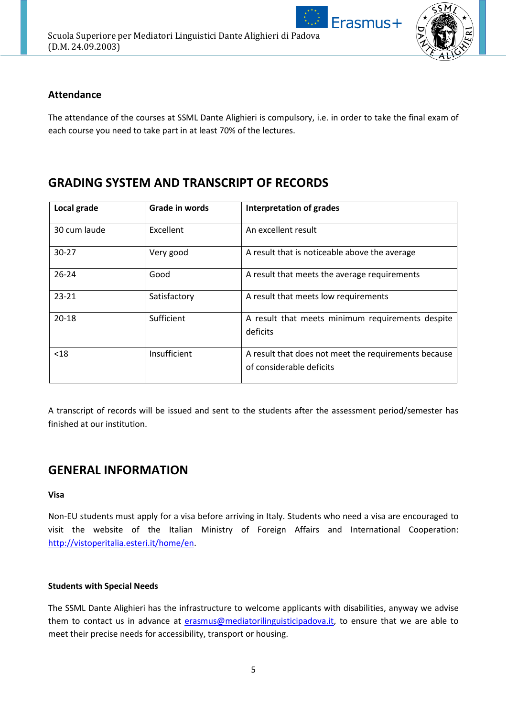

### **Attendance**

The attendance of the courses at SSML Dante Alighieri is compulsory, i.e. in order to take the final exam of each course you need to take part in at least 70% of the lectures.

# **GRADING SYSTEM AND TRANSCRIPT OF RECORDS**

| Local grade  | Grade in words | <b>Interpretation of grades</b>                                                  |
|--------------|----------------|----------------------------------------------------------------------------------|
| 30 cum laude | Excellent      | An excellent result                                                              |
| $30 - 27$    | Very good      | A result that is noticeable above the average                                    |
| $26 - 24$    | Good           | A result that meets the average requirements                                     |
| $23 - 21$    | Satisfactory   | A result that meets low requirements                                             |
| $20 - 18$    | Sufficient     | A result that meets minimum requirements despite<br>deficits                     |
| $18$         | Insufficient   | A result that does not meet the requirements because<br>of considerable deficits |

A transcript of records will be issued and sent to the students after the assessment period/semester has finished at our institution.

# **GENERAL INFORMATION**

### **Visa**

Non-EU students must apply for a visa before arriving in Italy. Students who need a visa are encouraged to visit the website of the Italian Ministry of Foreign Affairs and International Cooperation: [http://vistoperitalia.esteri.it/home/en.](http://vistoperitalia.esteri.it/home/en)

### **Students with Special Needs**

The SSML Dante Alighieri has the infrastructure to welcome applicants with disabilities, anyway we advise them to contact us in advance at [erasmus@mediatorilinguisticipadova.it,](mailto:erasmus@mediatorilinguisticipadova.it) to ensure that we are able to meet their precise needs for accessibility, transport or housing.

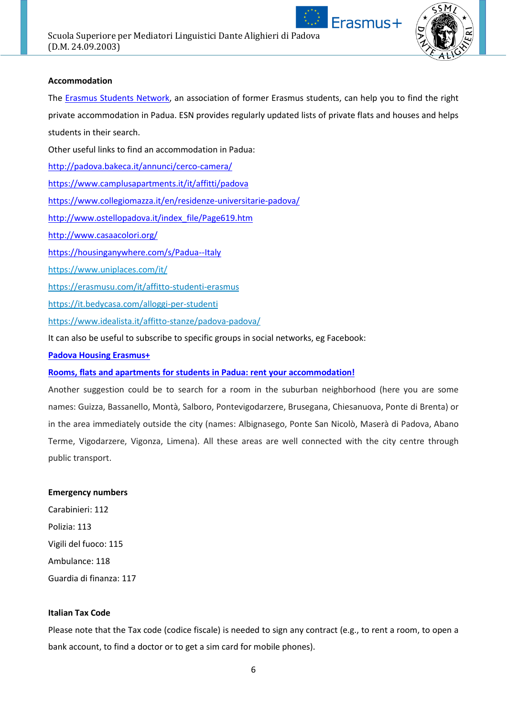



### **Accommodation**

The [Erasmus Students Network,](https://padova.esn.it/) an association of former Erasmus students, can help you to find the right private accommodation in Padua. ESN provides regularly updated lists of private flats and houses and helps students in their search.

Other useful links to find an accommodation in Padua:

<http://padova.bakeca.it/annunci/cerco-camera/>

<https://www.camplusapartments.it/it/affitti/padova>

<https://www.collegiomazza.it/en/residenze-universitarie-padova/>

[http://www.ostellopadova.it/index\\_file/Page619.htm](http://www.ostellopadova.it/index_file/Page619.htm)

<http://www.casaacolori.org/>

<https://housinganywhere.com/s/Padua--Italy>

<https://www.uniplaces.com/it/>

<https://erasmusu.com/it/affitto-studenti-erasmus>

<https://it.bedycasa.com/alloggi-per-studenti>

https://www.idealista.it/affitto-stanze/padova-padova/

It can also be useful to subscribe to specific groups in social networks, eg Facebook:

### **[Padova Housing Erasmus+](https://www.facebook.com/groups/erasmus.padova/)**

### **Rooms, flats and apartments for [students in Padua: rent your accommodation!](https://www.facebook.com/groups/paduarentals)**

Another suggestion could be to search for a room in the suburban neighborhood (here you are some names: Guizza, Bassanello, Montà, Salboro, Pontevigodarzere, Brusegana, Chiesanuova, Ponte di Brenta) or in the area immediately outside the city (names: Albignasego, Ponte San Nicolò, Maserà di Padova, Abano Terme, Vigodarzere, Vigonza, Limena). All these areas are well connected with the city centre through public transport.

#### **Emergency numbers**

Carabinieri: 112 Polizia: 113 Vigili del fuoco: 115 Ambulance: 118 Guardia di finanza: 117

### **Italian Tax Code**

Please note that the Tax code (codice fiscale) is needed to sign any contract (e.g., to rent a room, to open a bank account, to find a doctor or to get a sim card for mobile phones).